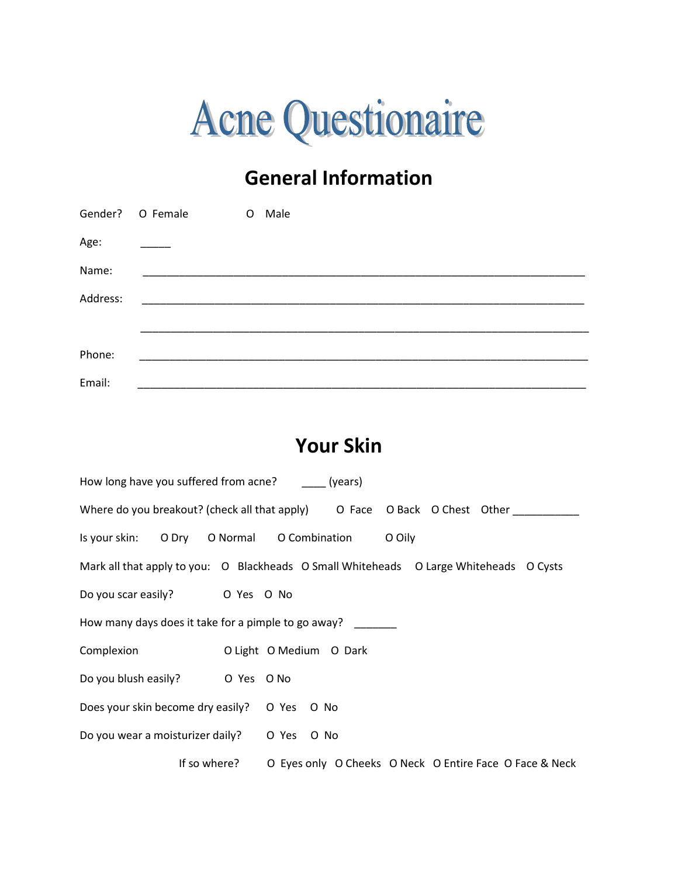

# **General Information**

| Gender? O Female | O | Male |
|------------------|---|------|
| Age:             |   |      |
| Name:            |   |      |
| Address:         |   |      |
|                  |   |      |
| Phone:           |   |      |
| Email:           |   |      |

#### **Your Skin**

| How long have you suffered from acne?<br>(years)                                       |            |            |                                                         |        |  |  |
|----------------------------------------------------------------------------------------|------------|------------|---------------------------------------------------------|--------|--|--|
| Where do you breakout? (check all that apply)<br>O Face O Back O Chest Other           |            |            |                                                         |        |  |  |
| Is your skin: O Dry O Normal O Combination                                             |            |            |                                                         | O Oily |  |  |
| Mark all that apply to you: O Blackheads O Small Whiteheads O Large Whiteheads O Cysts |            |            |                                                         |        |  |  |
| Do you scar easily?                                                                    | O Yes O No |            |                                                         |        |  |  |
| How many days does it take for a pimple to go away?                                    |            |            |                                                         |        |  |  |
| Complexion                                                                             |            |            | O Light O Medium O Dark                                 |        |  |  |
| Do you blush easily?                                                                   | O Yes O No |            |                                                         |        |  |  |
| Does your skin become dry easily?                                                      |            | O Yes      | O No                                                    |        |  |  |
| Do you wear a moisturizer daily?                                                       |            | O Yes O No |                                                         |        |  |  |
| If so where?                                                                           |            |            | O Eyes only O Cheeks O Neck O Entire Face O Face & Neck |        |  |  |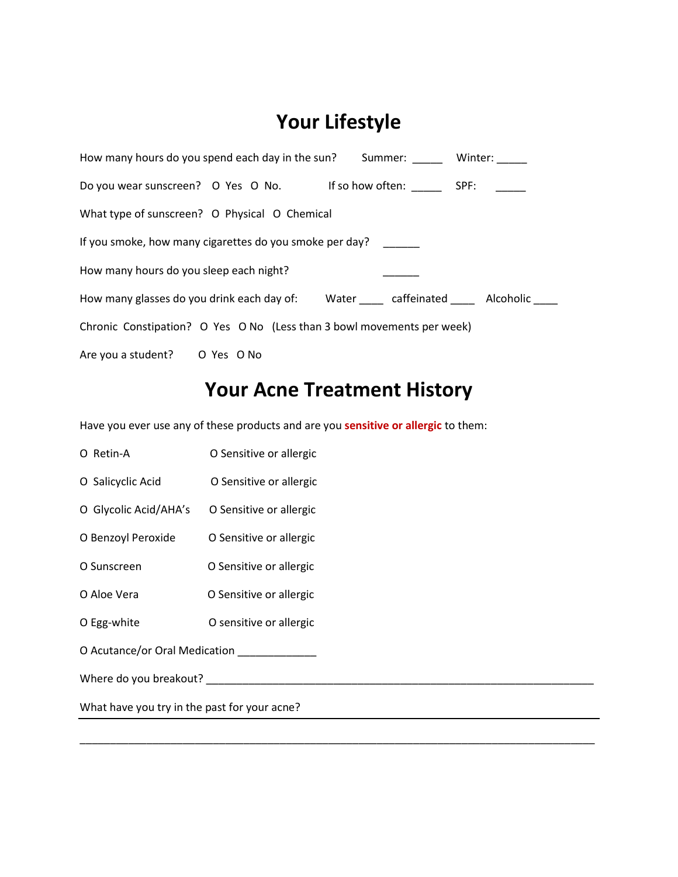## **Your Lifestyle**

| How many hours do you spend each day in the sun?                       | Summer: Winter:             |
|------------------------------------------------------------------------|-----------------------------|
| Do you wear sunscreen? O Yes O No. If so how often: SPF:               |                             |
| What type of sunscreen? O Physical O Chemical                          |                             |
| If you smoke, how many cigarettes do you smoke per day?                |                             |
| How many hours do you sleep each night?                                |                             |
| How many glasses do you drink each day of:                             | Water caffeinated Alcoholic |
| Chronic Constipation? O Yes O No (Less than 3 bowl movements per week) |                             |
| Are you a student? O Yes O No                                          |                             |

## **Your Acne Treatment History**

\_\_\_\_\_\_\_\_\_\_\_\_\_\_\_\_\_\_\_\_\_\_\_\_\_\_\_\_\_\_\_\_\_\_\_\_\_\_\_\_\_\_\_\_\_\_\_\_\_\_\_\_\_\_\_\_\_\_\_\_\_\_\_\_\_\_\_\_\_\_\_\_\_\_\_\_\_\_\_\_\_\_\_\_\_

Have you ever use any of these products and are you **sensitive or allergic** to them:

| O Retin-A                                    | O Sensitive or allergic |  |
|----------------------------------------------|-------------------------|--|
| O Salicyclic Acid                            | O Sensitive or allergic |  |
| O Glycolic Acid/AHA's                        | O Sensitive or allergic |  |
| O Benzoyl Peroxide                           | O Sensitive or allergic |  |
| O Sunscreen                                  | O Sensitive or allergic |  |
| O Aloe Vera                                  | O Sensitive or allergic |  |
| O Egg-white                                  | O sensitive or allergic |  |
| O Acutance/or Oral Medication                |                         |  |
| Where do you breakout?                       |                         |  |
| What have you try in the past for your acne? |                         |  |